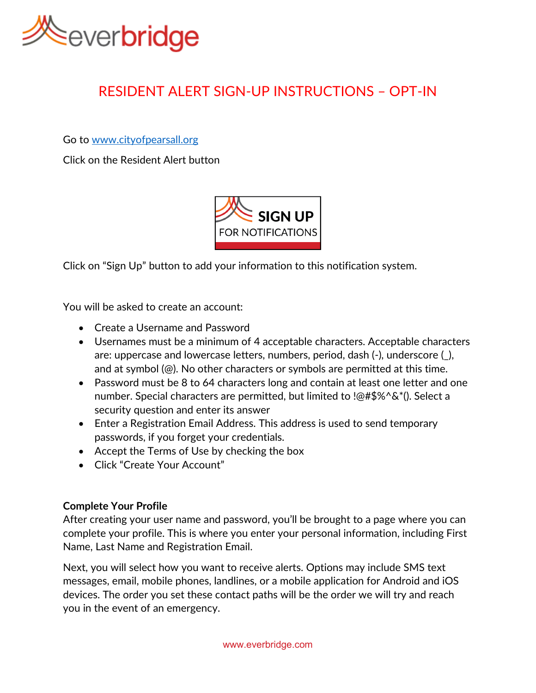

# RESIDENT ALERT SIGN-UP INSTRUCTIONS – OPT-IN

Go to [www.cityofpearsall.org](http://www.cityofpearsall.org/)

Click on the Resident Alert button



Click on "Sign Up" button to add your information to this notification system.

You will be asked to create an account:

- Create a Username and Password
- Usernames must be a minimum of 4 acceptable characters. Acceptable characters are: uppercase and lowercase letters, numbers, period, dash (-), underscore (\_), and at symbol (@). No other characters or symbols are permitted at this time.
- Password must be 8 to 64 characters long and contain at least one letter and one number. Special characters are permitted, but limited to !@#\$%^&\*(). Select a security question and enter its answer
- Enter a Registration Email Address. This address is used to send temporary passwords, if you forget your credentials.
- Accept the Terms of Use by checking the box
- Click "Create Your Account"

## **Complete Your Profile**

After creating your user name and password, you'll be brought to a page where you can complete your profile. This is where you enter your personal information, including First Name, Last Name and Registration Email.

Next, you will select how you want to receive alerts. Options may include SMS text messages, email, mobile phones, landlines, or a mobile application for Android and iOS devices. The order you set these contact paths will be the order we will try and reach you in the event of an emergency.